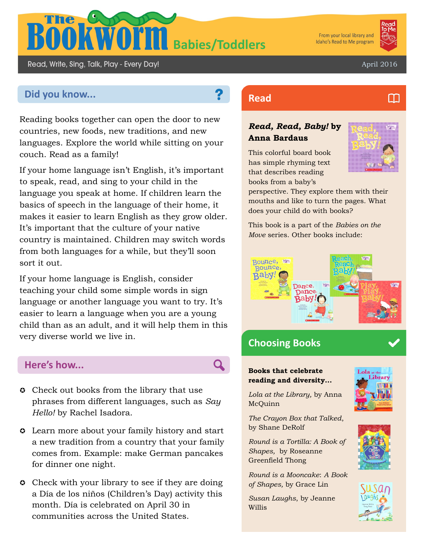

From your local library and Idaho's Read to Me program

M

Read, Write, Sing, Talk, Play - Every Day!

April 2016

# **Did you know... Read Read**

Reading books together can open the door to new countries, new foods, new traditions, and new languages. Explore the world while sitting on your couch. Read as a family!

If your home language isn't English, it's important to speak, read, and sing to your child in the language you speak at home. If children learn the basics of speech in the language of their home, it makes it easier to learn English as they grow older. It's important that the culture of your native country is maintained. Children may switch words from both languages for a while, but they'll soon sort it out.

If your home language is English, consider teaching your child some simple words in sign language or another language you want to try. It's easier to learn a language when you are a young child than as an adult, and it will help them in this very diverse world we live in.

# **Here's how...**

- **C** Check out books from the library that use phrases from different languages, such as *Say Hello!* by Rachel Isadora.
- Learn more about your family history and start a new tradition from a country that your family comes from. Example: make German pancakes for dinner one night.
- **Check with your library to see if they are doing** a Día de los niños (Children's Day) activity this month. Día is celebrated on April 30 in communities across the United States.

## *Read, Read, Baby!* **by Anna Bardaus**

This colorful board book has simple rhyming text that describes reading books from a baby's



perspective. They explore them with their mouths and like to turn the pages. What does your child do with books?

This book is a part of the *Babies on the Move* series. Other books include:



# **Choosing Books**

### **Books that celebrate reading and diversity...**

*Lola at the Library,* by Anna McQuinn

*The Crayon Box that Talked*, by Shane DeRolf

*Round is a Tortilla: A Book of Shapes,* by Roseanne Greenfield Thong

*Round is a Mooncake*: *A Book of Shapes,* by Grace Lin

*Susan Laughs*, by Jeanne Willis